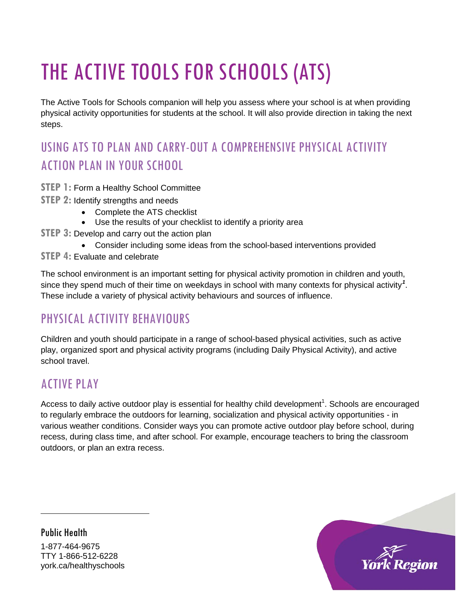# THE ACTIVE TOOLS FOR SCHOOLS (ATS)

The Active Tools for Schools companion will help you assess where your school is at when providing physical activity opportunities for students at the school. It will also provide direction in taking the next steps.

# USING ATS TO PLAN AND CARRY-OUT A COMPREHENSIVE PHYSICAL ACTIVITY ACTION PLAN IN YOUR SCHOOL

- **STEP 1:** Form a Healthy School Committee
- **STEP 2: Identify strengths and needs** 
	- Complete the ATS checklist
	- Use the results of your checklist to identify a priority area
- **STEP 3:** Develop and carry out the action plan
	- Consider including some ideas from the school-based interventions provided
- **STEP 4: Evaluate and celebrate**

The school environment is an important setting for physical activity promotion in children and youth, since they spend much of their time on weekdays in school with many contexts for physical activity*[1](#page-0-0)* . These include a variety of physical activity behaviours and sources of influence.

# PHYSICAL ACTIVITY BEHAVIOURS

Children and youth should participate in a range of school-based physical activities, such as active play, organized sport and physical activity programs (including Daily Physical Activity), and active school travel.

### ACTIVE PLAY

Access to daily active outdoor play is essential for healthy child development<sup>1</sup>. Schools are encouraged to regularly embrace the outdoors for learning, socialization and physical activity opportunities - in various weather conditions. Consider ways you can promote active outdoor play before school, during recess, during class time, and after school. For example, encourage teachers to bring the classroom outdoors, or plan an extra recess.

<span id="page-0-0"></span>Public Health 1-877-464-9675 TTY 1-866-512-6228 york.ca/healthyschools

 $\ddot{\phantom{a}}$